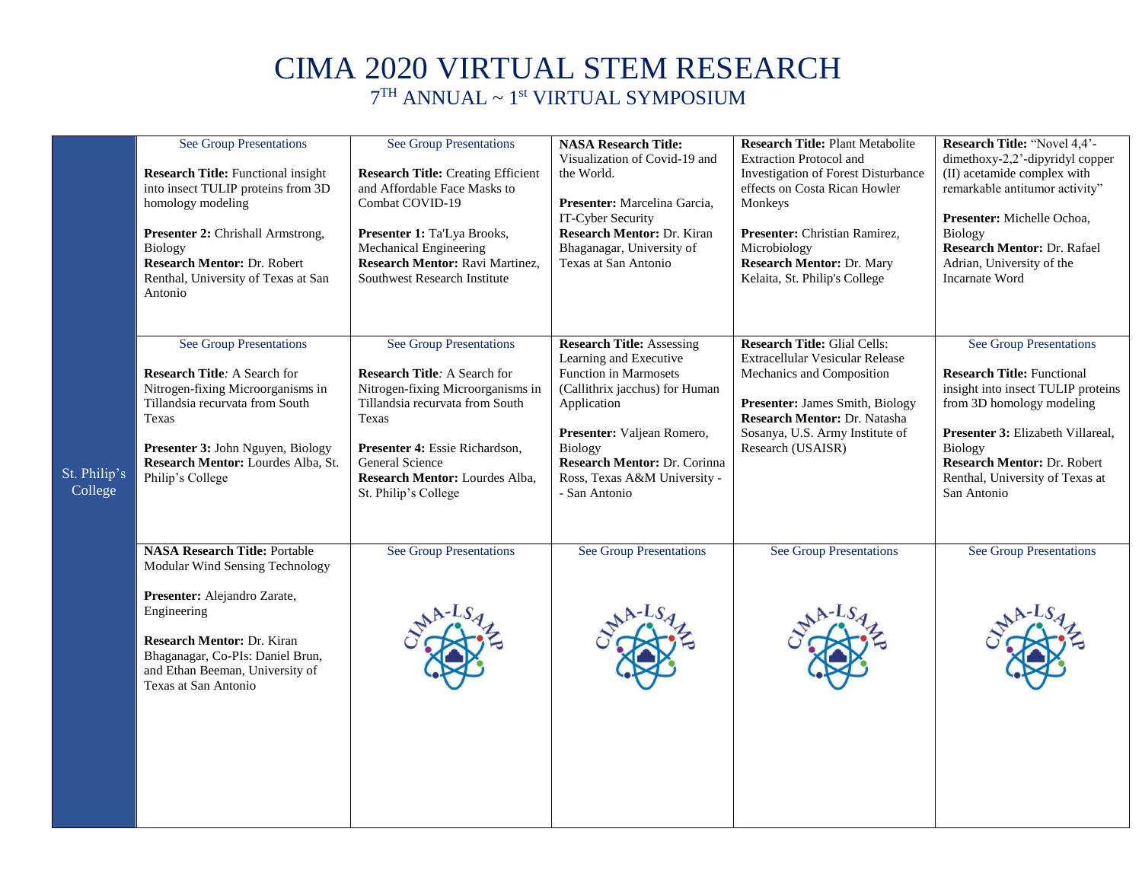## CIMA 2020 VIRTUAL STEM RESEARCH

7 TH ANNUAL ~ 1st VIRTUAL SYMPOSIUM

|                         | <b>See Group Presentations</b><br><b>Research Title:</b> Functional insight<br>into insect TULIP proteins from 3D<br>homology modeling<br>Presenter 2: Chrishall Armstrong,<br>Biology<br>Research Mentor: Dr. Robert<br>Renthal, University of Texas at San<br>Antonio | <b>See Group Presentations</b><br><b>Research Title: Creating Efficient</b><br>and Affordable Face Masks to<br>Combat COVID-19<br>Presenter 1: Ta'Lya Brooks,<br>Mechanical Engineering<br>Research Mentor: Ravi Martinez,<br>Southwest Research Institute            | <b>NASA Research Title:</b><br>Visualization of Covid-19 and<br>the World.<br>Presenter: Marcelina Garcia,<br>IT-Cyber Security<br>Research Mentor: Dr. Kiran<br>Bhaganagar, University of<br>Texas at San Antonio                                                           | <b>Research Title: Plant Metabolite</b><br><b>Extraction Protocol and</b><br>Investigation of Forest Disturbance<br>effects on Costa Rican Howler<br>Monkeys<br>Presenter: Christian Ramirez,<br>Microbiology<br>Research Mentor: Dr. Mary<br>Kelaita, St. Philip's College | Research Title: "Novel 4,4'-<br>dimethoxy-2,2'-dipyridyl copper<br>(II) acetamide complex with<br>remarkable antitumor activity"<br>Presenter: Michelle Ochoa,<br>Biology<br>Research Mentor: Dr. Rafael<br>Adrian, University of the<br><b>Incarnate Word</b>          |
|-------------------------|-------------------------------------------------------------------------------------------------------------------------------------------------------------------------------------------------------------------------------------------------------------------------|-----------------------------------------------------------------------------------------------------------------------------------------------------------------------------------------------------------------------------------------------------------------------|------------------------------------------------------------------------------------------------------------------------------------------------------------------------------------------------------------------------------------------------------------------------------|-----------------------------------------------------------------------------------------------------------------------------------------------------------------------------------------------------------------------------------------------------------------------------|-------------------------------------------------------------------------------------------------------------------------------------------------------------------------------------------------------------------------------------------------------------------------|
| St. Philip's<br>College | <b>See Group Presentations</b><br><b>Research Title: A Search for</b><br>Nitrogen-fixing Microorganisms in<br>Tillandsia recurvata from South<br>Texas<br>Presenter 3: John Nguyen, Biology<br>Research Mentor: Lourdes Alba, St.<br>Philip's College                   | <b>See Group Presentations</b><br><b>Research Title: A Search for</b><br>Nitrogen-fixing Microorganisms in<br>Tillandsia recurvata from South<br>Texas<br>Presenter 4: Essie Richardson,<br>General Science<br>Research Mentor: Lourdes Alba,<br>St. Philip's College | <b>Research Title: Assessing</b><br>Learning and Executive<br><b>Function in Marmosets</b><br>(Callithrix jacchus) for Human<br>Application<br>Presenter: Valjean Romero,<br><b>Biology</b><br>Research Mentor: Dr. Corinna<br>Ross, Texas A&M University -<br>- San Antonio | <b>Research Title: Glial Cells:</b><br>Extracellular Vesicular Release<br>Mechanics and Composition<br>Presenter: James Smith, Biology<br>Research Mentor: Dr. Natasha<br>Sosanya, U.S. Army Institute of<br>Research (USAISR)                                              | <b>See Group Presentations</b><br><b>Research Title: Functional</b><br>insight into insect TULIP proteins<br>from 3D homology modeling<br>Presenter 3: Elizabeth Villareal,<br>Biology<br>Research Mentor: Dr. Robert<br>Renthal, University of Texas at<br>San Antonio |
|                         | <b>NASA Research Title: Portable</b><br>Modular Wind Sensing Technology<br>Presenter: Alejandro Zarate,<br>Engineering<br>Research Mentor: Dr. Kiran<br>Bhaganagar, Co-PIs: Daniel Brun,<br>and Ethan Beeman, University of<br>Texas at San Antonio                     | <b>See Group Presentations</b>                                                                                                                                                                                                                                        | <b>See Group Presentations</b>                                                                                                                                                                                                                                               | See Group Presentations                                                                                                                                                                                                                                                     | See Group Presentations                                                                                                                                                                                                                                                 |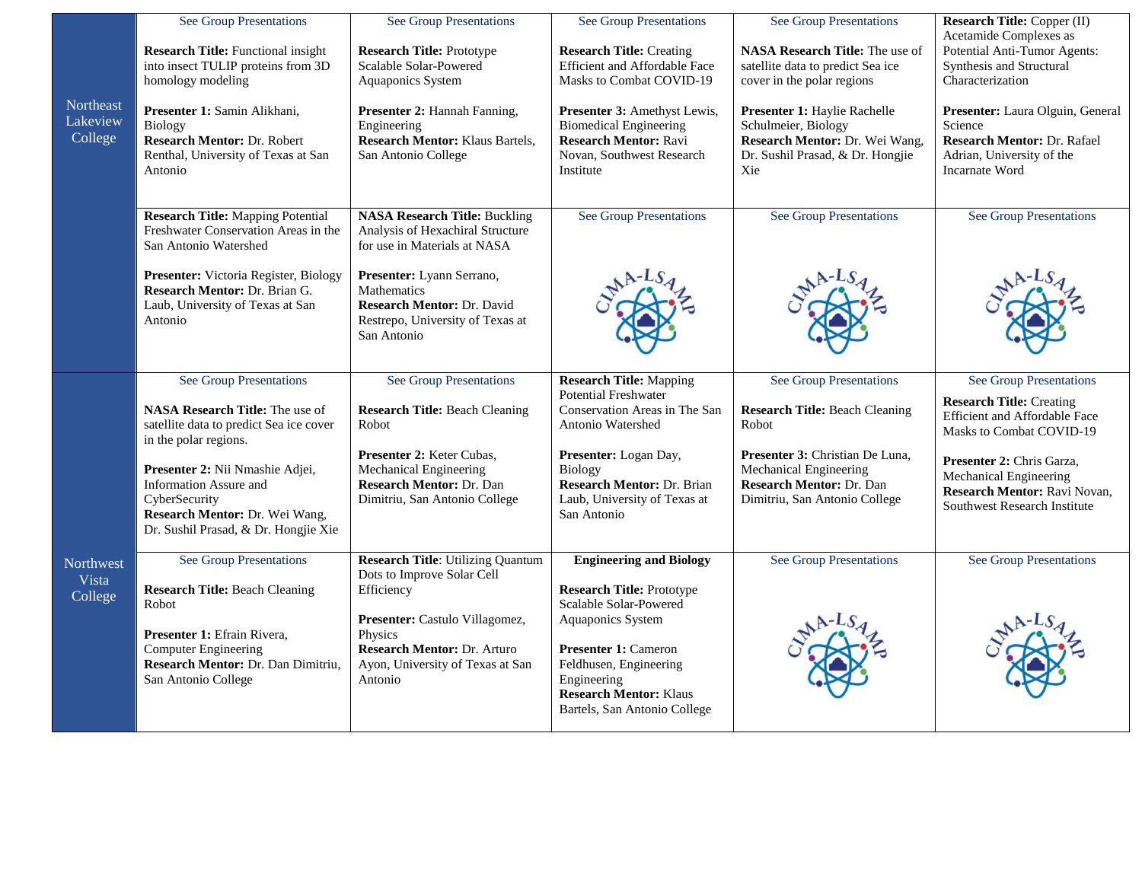| Northeast<br>Lakeview<br>College     | <b>See Group Presentations</b><br><b>Research Title:</b> Functional insight<br>into insect TULIP proteins from 3D<br>homology modeling<br>Presenter 1: Samin Alikhani,<br>Biology<br>Research Mentor: Dr. Robert<br>Renthal, University of Texas at San<br>Antonio                                   | <b>See Group Presentations</b><br><b>Research Title: Prototype</b><br>Scalable Solar-Powered<br>Aquaponics System<br>Presenter 2: Hannah Fanning,<br>Engineering<br><b>Research Mentor: Klaus Bartels,</b><br>San Antonio College     | <b>See Group Presentations</b><br><b>Research Title: Creating</b><br>Efficient and Affordable Face<br>Masks to Combat COVID-19<br>Presenter 3: Amethyst Lewis,<br><b>Biomedical Engineering</b><br><b>Research Mentor: Ravi</b><br>Novan, Southwest Research<br>Institute | <b>See Group Presentations</b><br><b>NASA Research Title:</b> The use of<br>satellite data to predict Sea ice<br>cover in the polar regions<br>Presenter 1: Haylie Rachelle<br>Schulmeier, Biology<br>Research Mentor: Dr. Wei Wang,<br>Dr. Sushil Prasad, & Dr. Hongjie<br>Xie | <b>Research Title: Copper (II)</b><br>Acetamide Complexes as<br>Potential Anti-Tumor Agents:<br>Synthesis and Structural<br>Characterization<br>Presenter: Laura Olguin, General<br>Science<br><b>Research Mentor: Dr. Rafael</b><br>Adrian, University of the<br><b>Incarnate Word</b> |
|--------------------------------------|------------------------------------------------------------------------------------------------------------------------------------------------------------------------------------------------------------------------------------------------------------------------------------------------------|---------------------------------------------------------------------------------------------------------------------------------------------------------------------------------------------------------------------------------------|---------------------------------------------------------------------------------------------------------------------------------------------------------------------------------------------------------------------------------------------------------------------------|---------------------------------------------------------------------------------------------------------------------------------------------------------------------------------------------------------------------------------------------------------------------------------|-----------------------------------------------------------------------------------------------------------------------------------------------------------------------------------------------------------------------------------------------------------------------------------------|
|                                      | <b>Research Title: Mapping Potential</b><br>Freshwater Conservation Areas in the<br>San Antonio Watershed<br>Presenter: Victoria Register, Biology<br>Research Mentor: Dr. Brian G.<br>Laub, University of Texas at San<br>Antonio                                                                   | <b>NASA Research Title: Buckling</b><br>Analysis of Hexachiral Structure<br>for use in Materials at NASA<br>Presenter: Lyann Serrano,<br>Mathematics<br>Research Mentor: Dr. David<br>Restrepo, University of Texas at<br>San Antonio | <b>See Group Presentations</b>                                                                                                                                                                                                                                            | <b>See Group Presentations</b>                                                                                                                                                                                                                                                  | <b>See Group Presentations</b>                                                                                                                                                                                                                                                          |
|                                      | <b>See Group Presentations</b><br><b>NASA Research Title:</b> The use of<br>satellite data to predict Sea ice cover<br>in the polar regions.<br>Presenter 2: Nii Nmashie Adjei,<br>Information Assure and<br>CyberSecurity<br>Research Mentor: Dr. Wei Wang,<br>Dr. Sushil Prasad, & Dr. Hongjie Xie | <b>See Group Presentations</b><br><b>Research Title: Beach Cleaning</b><br>Robot<br>Presenter 2: Keter Cubas,<br>Mechanical Engineering<br>Research Mentor: Dr. Dan<br>Dimitriu, San Antonio College                                  | <b>Research Title: Mapping</b><br><b>Potential Freshwater</b><br>Conservation Areas in The San<br>Antonio Watershed<br>Presenter: Logan Day,<br>Biology<br>Research Mentor: Dr. Brian<br>Laub, University of Texas at<br>San Antonio                                      | See Group Presentations<br><b>Research Title: Beach Cleaning</b><br>Robot<br>Presenter 3: Christian De Luna,<br>Mechanical Engineering<br>Research Mentor: Dr. Dan<br>Dimitriu, San Antonio College                                                                             | See Group Presentations<br><b>Research Title: Creating</b><br><b>Efficient and Affordable Face</b><br>Masks to Combat COVID-19<br>Presenter 2: Chris Garza,<br>Mechanical Engineering<br>Research Mentor: Ravi Novan,<br>Southwest Research Institute                                   |
| <b>Northwest</b><br>Vista<br>College | See Group Presentations<br><b>Research Title: Beach Cleaning</b><br>Robot<br>Presenter 1: Efrain Rivera,<br><b>Computer Engineering</b><br>Research Mentor: Dr. Dan Dimitriu,<br>San Antonio College                                                                                                 | <b>Research Title: Utilizing Quantum</b><br>Dots to Improve Solar Cell<br>Efficiency<br>Presenter: Castulo Villagomez,<br>Physics<br>Research Mentor: Dr. Arturo<br>Ayon, University of Texas at San<br>Antonio                       | <b>Engineering and Biology</b><br><b>Research Title: Prototype</b><br>Scalable Solar-Powered<br>Aquaponics System<br><b>Presenter 1: Cameron</b><br>Feldhusen, Engineering<br>Engineering<br><b>Research Mentor: Klaus</b><br>Bartels, San Antonio College                | See Group Presentations                                                                                                                                                                                                                                                         | <b>See Group Presentations</b>                                                                                                                                                                                                                                                          |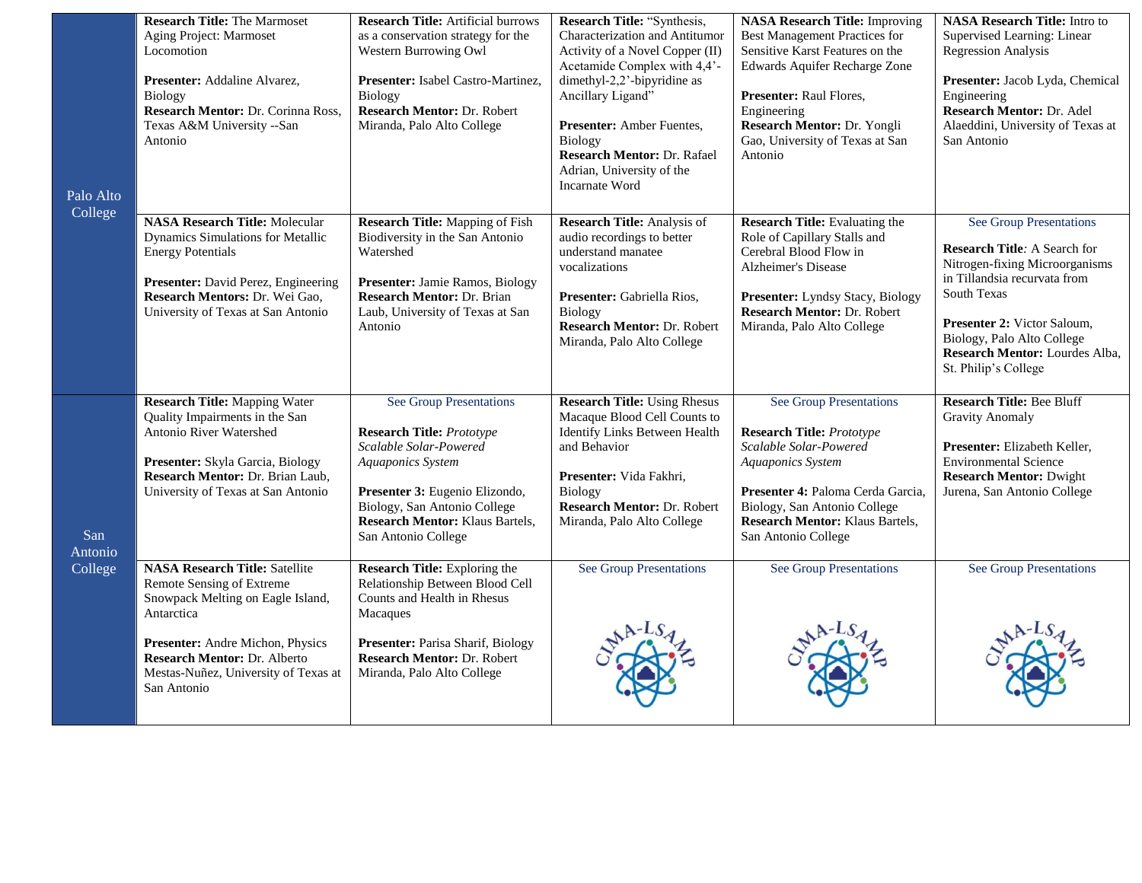| Palo Alto<br>College      | <b>Research Title: The Marmoset</b><br>Aging Project: Marmoset<br>Locomotion<br>Presenter: Addaline Alvarez,<br>Biology<br>Research Mentor: Dr. Corinna Ross,<br>Texas A&M University -- San<br>Antonio                                                        | <b>Research Title: Artificial burrows</b><br>as a conservation strategy for the<br>Western Burrowing Owl<br>Presenter: Isabel Castro-Martinez,<br>Biology<br>Research Mentor: Dr. Robert<br>Miranda, Palo Alto College                        | Research Title: "Synthesis,<br>Characterization and Antitumor<br>Activity of a Novel Copper (II)<br>Acetamide Complex with 4,4'-<br>dimethyl-2,2'-bipyridine as<br>Ancillary Ligand"<br>Presenter: Amber Fuentes,<br>Biology<br>Research Mentor: Dr. Rafael<br>Adrian, University of the<br><b>Incarnate Word</b> | <b>NASA Research Title: Improving</b><br>Best Management Practices for<br>Sensitive Karst Features on the<br><b>Edwards Aquifer Recharge Zone</b><br>Presenter: Raul Flores,<br>Engineering<br>Research Mentor: Dr. Yongli<br>Gao, University of Texas at San<br>Antonio | <b>NASA Research Title:</b> Intro to<br>Supervised Learning: Linear<br><b>Regression Analysis</b><br>Presenter: Jacob Lyda, Chemical<br>Engineering<br>Research Mentor: Dr. Adel<br>Alaeddini, University of Texas at<br>San Antonio                                   |
|---------------------------|----------------------------------------------------------------------------------------------------------------------------------------------------------------------------------------------------------------------------------------------------------------|-----------------------------------------------------------------------------------------------------------------------------------------------------------------------------------------------------------------------------------------------|-------------------------------------------------------------------------------------------------------------------------------------------------------------------------------------------------------------------------------------------------------------------------------------------------------------------|--------------------------------------------------------------------------------------------------------------------------------------------------------------------------------------------------------------------------------------------------------------------------|------------------------------------------------------------------------------------------------------------------------------------------------------------------------------------------------------------------------------------------------------------------------|
|                           | <b>NASA Research Title: Molecular</b><br>Dynamics Simulations for Metallic<br><b>Energy Potentials</b><br>Presenter: David Perez, Engineering<br>Research Mentors: Dr. Wei Gao,<br>University of Texas at San Antonio                                          | <b>Research Title: Mapping of Fish</b><br>Biodiversity in the San Antonio<br>Watershed<br><b>Presenter:</b> Jamie Ramos, Biology<br><b>Research Mentor: Dr. Brian</b><br>Laub, University of Texas at San<br>Antonio                          | <b>Research Title: Analysis of</b><br>audio recordings to better<br>understand manatee<br>vocalizations<br>Presenter: Gabriella Rios,<br>Biology<br>Research Mentor: Dr. Robert<br>Miranda, Palo Alto College                                                                                                     | <b>Research Title:</b> Evaluating the<br>Role of Capillary Stalls and<br>Cerebral Blood Flow in<br><b>Alzheimer's Disease</b><br>Presenter: Lyndsy Stacy, Biology<br><b>Research Mentor: Dr. Robert</b><br>Miranda, Palo Alto College                                    | See Group Presentations<br><b>Research Title: A Search for</b><br>Nitrogen-fixing Microorganisms<br>in Tillandsia recurvata from<br>South Texas<br>Presenter 2: Victor Saloum,<br>Biology, Palo Alto College<br>Research Mentor: Lourdes Alba,<br>St. Philip's College |
| San<br>Antonio<br>College | <b>Research Title: Mapping Water</b><br>Quality Impairments in the San<br><b>Antonio River Watershed</b><br>Presenter: Skyla Garcia, Biology<br>Research Mentor: Dr. Brian Laub,<br>University of Texas at San Antonio                                         | See Group Presentations<br><b>Research Title: Prototype</b><br>Scalable Solar-Powered<br>Aquaponics System<br>Presenter 3: Eugenio Elizondo,<br>Biology, San Antonio College<br><b>Research Mentor: Klaus Bartels,</b><br>San Antonio College | <b>Research Title: Using Rhesus</b><br>Macaque Blood Cell Counts to<br><b>Identify Links Between Health</b><br>and Behavior<br>Presenter: Vida Fakhri,<br>Biology<br>Research Mentor: Dr. Robert<br>Miranda, Palo Alto College                                                                                    | See Group Presentations<br><b>Research Title: Prototype</b><br>Scalable Solar-Powered<br>Aquaponics System<br>Presenter 4: Paloma Cerda Garcia,<br>Biology, San Antonio College<br><b>Research Mentor: Klaus Bartels,</b><br>San Antonio College                         | <b>Research Title: Bee Bluff</b><br><b>Gravity Anomaly</b><br>Presenter: Elizabeth Keller,<br><b>Environmental Science</b><br><b>Research Mentor: Dwight</b><br>Jurena, San Antonio College                                                                            |
|                           | <b>NASA Research Title: Satellite</b><br>Remote Sensing of Extreme<br>Snowpack Melting on Eagle Island,<br>Antarctica<br><b>Presenter:</b> Andre Michon, Physics<br><b>Research Mentor: Dr. Alberto</b><br>Mestas-Nuñez, University of Texas at<br>San Antonio | <b>Research Title:</b> Exploring the<br>Relationship Between Blood Cell<br>Counts and Health in Rhesus<br>Macaques<br>Presenter: Parisa Sharif, Biology<br>Research Mentor: Dr. Robert<br>Miranda, Palo Alto College                          | <b>See Group Presentations</b>                                                                                                                                                                                                                                                                                    | See Group Presentations                                                                                                                                                                                                                                                  | See Group Presentations                                                                                                                                                                                                                                                |